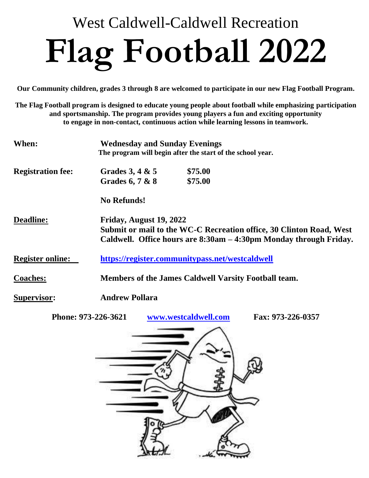## West Caldwell-Caldwell Recreation **Flag Football 2022**

**Our Community children, grades 3 through 8 are welcomed to participate in our new Flag Football Program.** 

**The Flag Football program is designed to educate young people about football while emphasizing participation and sportsmanship. The program provides young players a fun and exciting opportunity to engage in non-contact, continuous action while learning lessons in teamwork.**

| When:                    | <b>Wednesday and Sunday Evenings</b><br>The program will begin after the start of the school year.                                                                  |                    |  |  |  |
|--------------------------|---------------------------------------------------------------------------------------------------------------------------------------------------------------------|--------------------|--|--|--|
| <b>Registration fee:</b> | Grades 3, 4 $\&$ 5<br>Grades 6, 7 & 8                                                                                                                               | \$75.00<br>\$75.00 |  |  |  |
|                          | <b>No Refunds!</b>                                                                                                                                                  |                    |  |  |  |
| <b>Deadline:</b>         | Friday, August 19, 2022<br>Submit or mail to the WC-C Recreation office, 30 Clinton Road, West<br>Caldwell. Office hours are 8:30am – 4:30pm Monday through Friday. |                    |  |  |  |
| <b>Register online:</b>  | https://register.communitypass.net/westcaldwell                                                                                                                     |                    |  |  |  |
| <b>Coaches:</b>          | Members of the James Caldwell Varsity Football team.                                                                                                                |                    |  |  |  |
| <b>Supervisor:</b>       | <b>Andrew Pollara</b>                                                                                                                                               |                    |  |  |  |

**Phone: 973-226-3621 [www.westcaldwell.com](http://www.westcaldwell.com/) Fax: 973-226-0357**